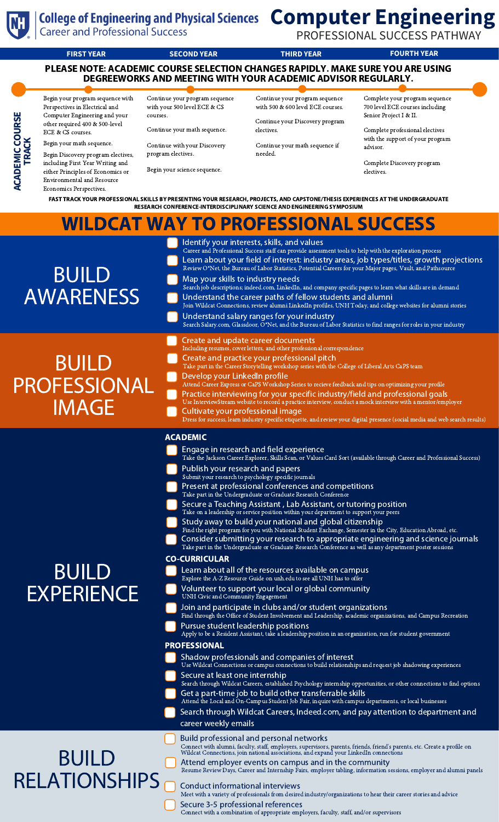

**ACA D E MIC C O D R** <u>ທ</u> **E**

**TRAC K**

# **Computer Engineering**

PROFESSIONAL SUCCESS PATHWAY

**FIRST YEAR SECOND YEAR THIRD YEAR FOURTH YEAR** PLEASE NOTE: ACADEMIC COURSE SELECTION CHANGES RAPIDLY. MAKE SURE YOU ARE USING DEGREEWORKS AND MEETING WITH YOUR ACADEMIC ADVISOR REGULARLY.

Begin your program sequence with Perspectives in Electrical and Computer Engineering and your other required 400 & 500-level ECE & CS courses.

Begin your math sequence. Begin Discovery program electives, including First Year Writing and either Principles of Economics or Environmental and Resource Economics Perspectives.

Continue your program sequence with your 500 level ECE & CS courses.

Continue your math sequence.

Continue with your Discovery program electives.

Begin your science sequence.

Continue your program sequence with 500 & 600 level ECE courses.

Continue your Discovery program electives.

Continue your math sequence if needed.

Complete your program sequence 700 level ECE courses including Senior Project I & II.

Complete professional electives with the support of your program advisor.

Complete Discovery program electives.

FAST TRACK YOUR PROFESSIONAL SKILLS BY PRESENTING YOUR RESEARCH, PROJECTS, AND CAPSTONE/THESIS EXPERIENCES AT THE UNDERGRADUATE RESEARCH CONFERENCE-INTERDISCIPLINARY SCIENCE AND ENGINEERING SYMPOSIUM

| <b>WILDCAT WAY TO PROFESSIONAL SUCCESS</b>          |                                                                                                                                                                                                                                                                                                                                                                                                                                                                                                                                                                                                                                                                                                                                                                                                                                                                                                                                                                                                                                                                                                                                                                                                                                                                                                                                                                                                                                                                                                                                                                                                                                                                                                                                                                                                                                                                                                                                                                                                                                                                                                                                                                                |
|-----------------------------------------------------|--------------------------------------------------------------------------------------------------------------------------------------------------------------------------------------------------------------------------------------------------------------------------------------------------------------------------------------------------------------------------------------------------------------------------------------------------------------------------------------------------------------------------------------------------------------------------------------------------------------------------------------------------------------------------------------------------------------------------------------------------------------------------------------------------------------------------------------------------------------------------------------------------------------------------------------------------------------------------------------------------------------------------------------------------------------------------------------------------------------------------------------------------------------------------------------------------------------------------------------------------------------------------------------------------------------------------------------------------------------------------------------------------------------------------------------------------------------------------------------------------------------------------------------------------------------------------------------------------------------------------------------------------------------------------------------------------------------------------------------------------------------------------------------------------------------------------------------------------------------------------------------------------------------------------------------------------------------------------------------------------------------------------------------------------------------------------------------------------------------------------------------------------------------------------------|
| <b>BUILD</b><br><b>AWARENESS</b>                    | Identify your interests, skills, and values<br>Career and Professional Success staff can provide assessment tools to help with the exploration process<br>Learn about your field of interest: industry areas, job types/titles, growth projections<br>Review O*Net, the Bureau of Labor Statistics, Potential Careers for your Major pages, Vault, and Pathsource<br>Map your skills to industry needs<br>Search job descriptions; indeed.com, LinkedIn, and company specific pages to learn what skills are in demand<br>Understand the career paths of fellow students and alumni<br>Join Wildcat Connections, review alumni LinkedIn profiles, UNH Today, and college websites for alumni stories<br>Understand salary ranges for your industry<br>Search Salary.com, Glassdoor, O*Net, and the Bureau of Labor Statistics to find ranges for roles in your industry                                                                                                                                                                                                                                                                                                                                                                                                                                                                                                                                                                                                                                                                                                                                                                                                                                                                                                                                                                                                                                                                                                                                                                                                                                                                                                        |
| <b>BUILD</b><br><b>PROFESSIONAL</b><br><b>IMAGE</b> | Create and update career documents<br>Including resumes, cover letters, and other professional correspondence<br>Create and practice your professional pitch<br>Take part in the Career Storytelling workshop series with the College of Liberal Arts CaPS team<br>Develop your LinkedIn profile<br>Attend Career Express or CaPS Workshop Series to recieve feedback and tips on optimizing your profile<br>Practice interviewing for your specific industry/field and professional goals<br>Use InterviewStream website to record a practice interview, conduct a mock interview with a mentor/employer<br>Cultivate your professional image<br>Dress for success, learn industry specific etiquette, and review your digital presence (social media and web search results)                                                                                                                                                                                                                                                                                                                                                                                                                                                                                                                                                                                                                                                                                                                                                                                                                                                                                                                                                                                                                                                                                                                                                                                                                                                                                                                                                                                                 |
| <b>BUIL</b><br><b>EXPERIENCE</b>                    | <b>ACADEMIC</b><br>Engage in research and field experience<br>Take the Jackson Career Explorer, Skills Scan, or Values Card Sort (available through Career and Professional Success)<br>Publish your research and papers<br>Submit your research to psychology specific journals<br>Present at professional conferences and competitions<br>Take part in the Undergraduate or Graduate Research Conference<br>Secure a Teaching Assistant, Lab Assistant, or tutoring position<br>Take on a leadership or service position within your department to support your peers<br>Study away to build your national and global citizenship<br>Find the right program for you with National Student Exchange, Semester in the City, Education Abroad, etc.<br>Consider submitting your research to appropriate engineering and science journals<br>Take part in the Undergraduate or Graduate Research Conference as well as any department poster sessions<br><b>CO-CURRICULAR</b><br>Learn about all of the resources available on campus<br>Explore the A-Z Resource Guide on unh.edu to see all UNH has to offer<br>Volunteer to support your local or global community<br>UNH Civic and Community Engagement<br>Join and participate in clubs and/or student organizations<br>Find through the Office of Student Involvement and Leadership, academic organizations, and Campus Recreation<br>Pursue student leadership positions<br>Apply to be a Resident Assistant, take a leadership position in an organization, run for student government<br><b>PROFESSIONAL</b><br>Shadow professionals and companies of interest<br>Use Wildcat Connections or campus connections to build relationships and request job shadowing experiences<br>Secure at least one internship<br>Search through Wildcat Careers, established Psychology internship opportunities, or other connections to find options<br>Get a part-time job to build other transferrable skills<br>Attend the Local and On-Campus Student Job Fair, inquire with campus departments, or local businesses<br>Search through Wildcat Careers, Indeed.com, and pay attention to department and<br>career weekly emails |
| <b>BUILD</b><br><b>RELATIONSHIPS</b>                | <b>Build professional and personal networks</b><br>Connect with alumni, faculty, staff, employers, supervisors, parents, friends, friend's parents, etc. Create a profile on Wildcat Connections, join national associations, and expand your LinkedIn connections<br>Attend employer events on campus and in the community<br>Resume Review Days, Career and Internship Fairs, employer tabling, information sessions, employer and alumni panels<br>Conduct informational interviews<br>Meet with a variety of professionals from desired industry/organizations to hear their career stories and advice<br>Secure 3-5 professional references<br>Connect with a combination of appropriate employers, faculty, staff, and/or supervisors                                                                                                                                                                                                                                                                                                                                                                                                                                                                                                                                                                                                                                                                                                                                                                                                                                                                                                                                                                                                                                                                                                                                                                                                                                                                                                                                                                                                                                    |